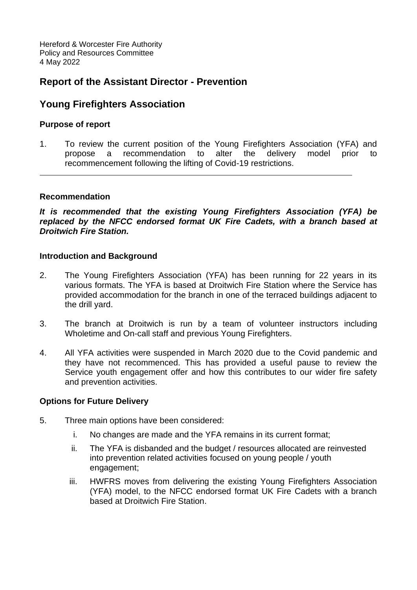Hereford & Worcester Fire Authority Policy and Resources Committee 4 May 2022

# **Report of the Assistant Director - Prevention**

# **Young Firefighters Association**

## **Purpose of report**

1. To review the current position of the Young Firefighters Association (YFA) and propose a recommendation to alter the delivery model prior to recommencement following the lifting of Covid-19 restrictions.

### **Recommendation**

*It is recommended that the existing Young Firefighters Association (YFA) be replaced by the NFCC endorsed format UK Fire Cadets, with a branch based at Droitwich Fire Station.*

### **Introduction and Background**

- 2. The Young Firefighters Association (YFA) has been running for 22 years in its various formats. The YFA is based at Droitwich Fire Station where the Service has provided accommodation for the branch in one of the terraced buildings adjacent to the drill yard.
- 3. The branch at Droitwich is run by a team of volunteer instructors including Wholetime and On-call staff and previous Young Firefighters.
- 4. All YFA activities were suspended in March 2020 due to the Covid pandemic and they have not recommenced. This has provided a useful pause to review the Service youth engagement offer and how this contributes to our wider fire safety and prevention activities.

### **Options for Future Delivery**

- 5. Three main options have been considered:
	- i. No changes are made and the YFA remains in its current format;
	- ii. The YFA is disbanded and the budget / resources allocated are reinvested into prevention related activities focused on young people / youth engagement;
	- iii. HWFRS moves from delivering the existing Young Firefighters Association (YFA) model, to the NFCC endorsed format UK Fire Cadets with a branch based at Droitwich Fire Station.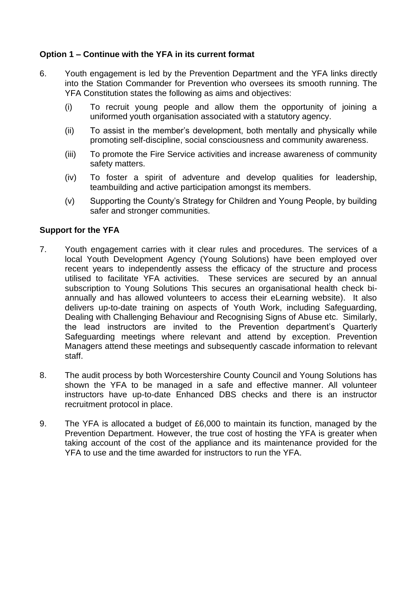## **Option 1 – Continue with the YFA in its current format**

- 6. Youth engagement is led by the Prevention Department and the YFA links directly into the Station Commander for Prevention who oversees its smooth running. The YFA Constitution states the following as aims and objectives:
	- (i) To recruit young people and allow them the opportunity of joining a uniformed youth organisation associated with a statutory agency.
	- (ii) To assist in the member's development, both mentally and physically while promoting self-discipline, social consciousness and community awareness.
	- (iii) To promote the Fire Service activities and increase awareness of community safety matters.
	- (iv) To foster a spirit of adventure and develop qualities for leadership, teambuilding and active participation amongst its members.
	- (v) Supporting the County's Strategy for Children and Young People, by building safer and stronger communities.

## **Support for the YFA**

- 7. Youth engagement carries with it clear rules and procedures. The services of a local Youth Development Agency (Young Solutions) have been employed over recent years to independently assess the efficacy of the structure and process utilised to facilitate YFA activities. These services are secured by an annual subscription to Young Solutions This secures an organisational health check biannually and has allowed volunteers to access their eLearning website). It also delivers up-to-date training on aspects of Youth Work, including Safeguarding, Dealing with Challenging Behaviour and Recognising Signs of Abuse etc. Similarly, the lead instructors are invited to the Prevention department's Quarterly Safeguarding meetings where relevant and attend by exception. Prevention Managers attend these meetings and subsequently cascade information to relevant staff.
- 8. The audit process by both Worcestershire County Council and Young Solutions has shown the YFA to be managed in a safe and effective manner. All volunteer instructors have up-to-date Enhanced DBS checks and there is an instructor recruitment protocol in place.
- 9. The YFA is allocated a budget of £6,000 to maintain its function, managed by the Prevention Department. However, the true cost of hosting the YFA is greater when taking account of the cost of the appliance and its maintenance provided for the YFA to use and the time awarded for instructors to run the YFA.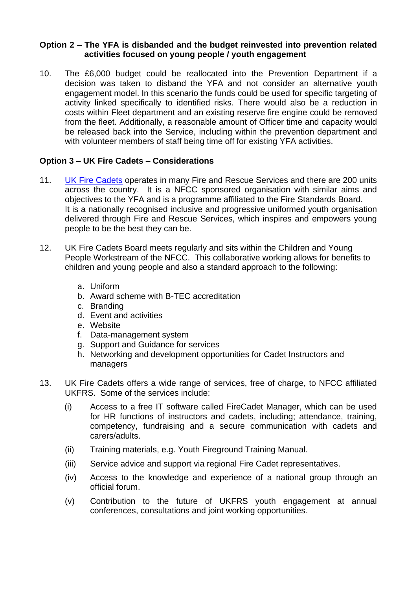## **Option 2 – The YFA is disbanded and the budget reinvested into prevention related activities focused on young people / youth engagement**

10. The £6,000 budget could be reallocated into the Prevention Department if a decision was taken to disband the YFA and not consider an alternative youth engagement model. In this scenario the funds could be used for specific targeting of activity linked specifically to identified risks. There would also be a reduction in costs within Fleet department and an existing reserve fire engine could be removed from the fleet. Additionally, a reasonable amount of Officer time and capacity would be released back into the Service, including within the prevention department and with volunteer members of staff being time off for existing YFA activities.

## **Option 3 – UK Fire Cadets – Considerations**

- 11. [UK Fire Cadets](https://www.ukfirecadets.org.uk/fire-cadets-home) operates in many Fire and Rescue Services and there are 200 units across the country. It is a NFCC sponsored organisation with similar aims and objectives to the YFA and is a programme affiliated to the Fire Standards Board. It is a nationally recognised inclusive and progressive uniformed youth organisation delivered through Fire and Rescue Services, which inspires and empowers young people to be the best they can be.
- 12. UK Fire Cadets Board meets regularly and sits within the Children and Young People Workstream of the NFCC. This collaborative working allows for benefits to children and young people and also a standard approach to the following:
	- a. Uniform
	- b. Award scheme with B-TEC accreditation
	- c. Branding
	- d. Event and activities
	- e. Website
	- f. Data-management system
	- g. Support and Guidance for services
	- h. Networking and development opportunities for Cadet Instructors and managers
- 13. UK Fire Cadets offers a wide range of services, free of charge, to NFCC affiliated UKFRS. Some of the services include:
	- (i) Access to a free IT software called FireCadet Manager, which can be used for HR functions of instructors and cadets, including; attendance, training, competency, fundraising and a secure communication with cadets and carers/adults.
	- (ii) Training materials, e.g. Youth Fireground Training Manual.
	- (iii) Service advice and support via regional Fire Cadet representatives.
	- (iv) Access to the knowledge and experience of a national group through an official forum.
	- (v) Contribution to the future of UKFRS youth engagement at annual conferences, consultations and joint working opportunities.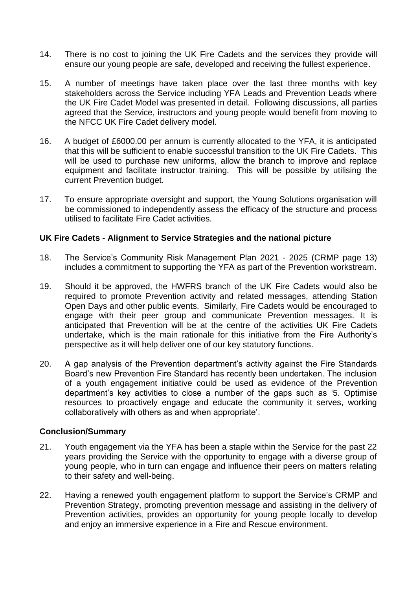- 14. There is no cost to joining the UK Fire Cadets and the services they provide will ensure our young people are safe, developed and receiving the fullest experience.
- 15. A number of meetings have taken place over the last three months with key stakeholders across the Service including YFA Leads and Prevention Leads where the UK Fire Cadet Model was presented in detail. Following discussions, all parties agreed that the Service, instructors and young people would benefit from moving to the NFCC UK Fire Cadet delivery model.
- 16. A budget of £6000.00 per annum is currently allocated to the YFA, it is anticipated that this will be sufficient to enable successful transition to the UK Fire Cadets. This will be used to purchase new uniforms, allow the branch to improve and replace equipment and facilitate instructor training. This will be possible by utilising the current Prevention budget.
- 17. To ensure appropriate oversight and support, the Young Solutions organisation will be commissioned to independently assess the efficacy of the structure and process utilised to facilitate Fire Cadet activities.

### **UK Fire Cadets - Alignment to Service Strategies and the national picture**

- 18. The Service's Community Risk Management Plan 2021 2025 (CRMP page 13) includes a commitment to supporting the YFA as part of the Prevention workstream.
- 19. Should it be approved, the HWFRS branch of the UK Fire Cadets would also be required to promote Prevention activity and related messages, attending Station Open Days and other public events. Similarly, Fire Cadets would be encouraged to engage with their peer group and communicate Prevention messages. It is anticipated that Prevention will be at the centre of the activities UK Fire Cadets undertake, which is the main rationale for this initiative from the Fire Authority's perspective as it will help deliver one of our key statutory functions.
- 20. A gap analysis of the Prevention department's activity against the Fire Standards Board's new Prevention Fire Standard has recently been undertaken. The inclusion of a youth engagement initiative could be used as evidence of the Prevention department's key activities to close a number of the gaps such as '5. Optimise resources to proactively engage and educate the community it serves, working collaboratively with others as and when appropriate'.

#### **Conclusion/Summary**

- 21. Youth engagement via the YFA has been a staple within the Service for the past 22 years providing the Service with the opportunity to engage with a diverse group of young people, who in turn can engage and influence their peers on matters relating to their safety and well-being.
- 22. Having a renewed youth engagement platform to support the Service's CRMP and Prevention Strategy, promoting prevention message and assisting in the delivery of Prevention activities, provides an opportunity for young people locally to develop and enjoy an immersive experience in a Fire and Rescue environment.